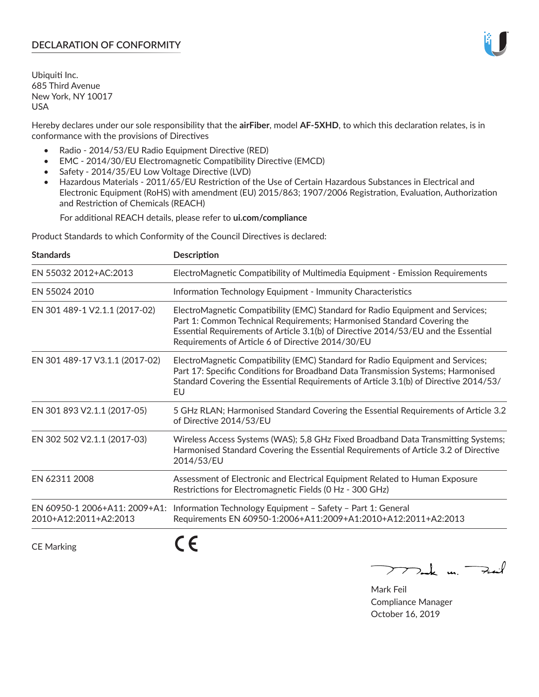# **DECLARATION OF CONFORMITY**

Ubiquiti Inc. 685 Third Avenue New York, NY 10017 USA

Hereby declares under our sole responsibility that the **airFiber**, model **AF-5XHD**, to which this declaration relates, is in conformance with the provisions of Directives

- Radio 2014/53/EU Radio Equipment Directive (RED)
- EMC 2014/30/EU Electromagnetic Compatibility Directive (EMCD)
- Safety 2014/35/EU Low Voltage Directive (LVD)
- Hazardous Materials 2011/65/EU Restriction of the Use of Certain Hazardous Substances in Electrical and Electronic Equipment (RoHS) with amendment (EU) 2015/863; 1907/2006 Registration, Evaluation, Authorization and Restriction of Chemicals (REACH)

For additional REACH details, please refer to **ui.com/compliance**

Product Standards to which Conformity of the Council Directives is declared:

| <b>Standards</b>                                       | <b>Description</b>                                                                                                                                                                                                                                                                                   |
|--------------------------------------------------------|------------------------------------------------------------------------------------------------------------------------------------------------------------------------------------------------------------------------------------------------------------------------------------------------------|
| EN 55032 2012+AC:2013                                  | ElectroMagnetic Compatibility of Multimedia Equipment - Emission Requirements                                                                                                                                                                                                                        |
| EN 55024 2010                                          | Information Technology Equipment - Immunity Characteristics                                                                                                                                                                                                                                          |
| EN 301 489-1 V2.1.1 (2017-02)                          | ElectroMagnetic Compatibility (EMC) Standard for Radio Equipment and Services;<br>Part 1: Common Technical Requirements; Harmonised Standard Covering the<br>Essential Requirements of Article 3.1(b) of Directive 2014/53/EU and the Essential<br>Requirements of Article 6 of Directive 2014/30/EU |
| EN 301 489-17 V3.1.1 (2017-02)                         | ElectroMagnetic Compatibility (EMC) Standard for Radio Equipment and Services;<br>Part 17: Specific Conditions for Broadband Data Transmission Systems; Harmonised<br>Standard Covering the Essential Requirements of Article 3.1(b) of Directive 2014/53/<br>EU                                     |
| EN 301 893 V2.1.1 (2017-05)                            | 5 GHz RLAN; Harmonised Standard Covering the Essential Requirements of Article 3.2<br>of Directive 2014/53/EU                                                                                                                                                                                        |
| EN 302 502 V2.1.1 (2017-03)                            | Wireless Access Systems (WAS); 5,8 GHz Fixed Broadband Data Transmitting Systems;<br>Harmonised Standard Covering the Essential Requirements of Article 3.2 of Directive<br>2014/53/EU                                                                                                               |
| EN 62311 2008                                          | Assessment of Electronic and Electrical Equipment Related to Human Exposure<br>Restrictions for Electromagnetic Fields (0 Hz - 300 GHz)                                                                                                                                                              |
| EN 60950-1 2006+A11: 2009+A1:<br>2010+A12:2011+A2:2013 | Information Technology Equipment - Safety - Part 1: General<br>Requirements EN 60950-1:2006+A11:2009+A1:2010+A12:2011+A2:2013                                                                                                                                                                        |
|                                                        |                                                                                                                                                                                                                                                                                                      |

CE Marking

C C

mak m. Fuil

Mark Feil Compliance Manager October 16, 2019

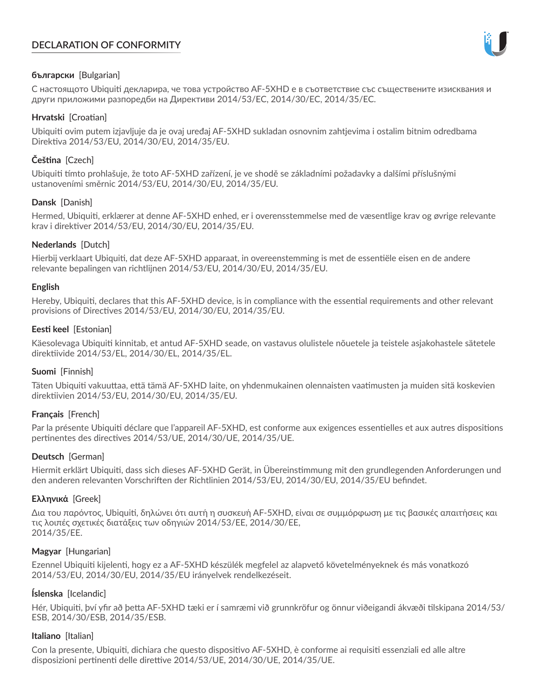# **DECLARATION OF CONFORMITY**



# **български** [Bulgarian]

С настоящото Ubiquiti декларира, че това устройство AF-5XHD е в съответствие със съществените изисквания и други приложими разпоредби на Директиви 2014/53/EC, 2014/30/ЕС, 2014/35/ЕС.

## **Hrvatski** [Croatian]

Ubiquiti ovim putem izjavljuje da je ovaj uređaj AF-5XHD sukladan osnovnim zahtjevima i ostalim bitnim odredbama Direktiva 2014/53/EU, 2014/30/EU, 2014/35/EU.

# **Čeština** [Czech]

Ubiquiti tímto prohlašuje, že toto AF-5XHD zařízení, je ve shodě se základními požadavky a dalšími příslušnými ustanoveními směrnic 2014/53/EU, 2014/30/EU, 2014/35/EU.

# **Dansk** [Danish]

Hermed, Ubiquiti, erklærer at denne AF-5XHD enhed, er i overensstemmelse med de væsentlige krav og øvrige relevante krav i direktiver 2014/53/EU, 2014/30/EU, 2014/35/EU.

# **Nederlands** [Dutch]

Hierbij verklaart Ubiquiti, dat deze AF-5XHD apparaat, in overeenstemming is met de essentiële eisen en de andere relevante bepalingen van richtlijnen 2014/53/EU, 2014/30/EU, 2014/35/EU.

## **English**

Hereby, Ubiquiti, declares that this AF-5XHD device, is in compliance with the essential requirements and other relevant provisions of Directives 2014/53/EU, 2014/30/EU, 2014/35/EU.

# **Eesti keel** [Estonian]

Käesolevaga Ubiquiti kinnitab, et antud AF-5XHD seade, on vastavus olulistele nõuetele ja teistele asjakohastele sätetele direktiivide 2014/53/EL, 2014/30/EL, 2014/35/EL.

## **Suomi** [Finnish]

Täten Ubiquiti vakuuttaa, että tämä AF-5XHD laite, on yhdenmukainen olennaisten vaatimusten ja muiden sitä koskevien direktiivien 2014/53/EU, 2014/30/EU, 2014/35/EU.

## **Français** [French]

Par la présente Ubiquiti déclare que l'appareil AF-5XHD, est conforme aux exigences essentielles et aux autres dispositions pertinentes des directives 2014/53/UE, 2014/30/UE, 2014/35/UE.

## **Deutsch** [German]

Hiermit erklärt Ubiquiti, dass sich dieses AF-5XHD Gerät, in Übereinstimmung mit den grundlegenden Anforderungen und den anderen relevanten Vorschriften der Richtlinien 2014/53/EU, 2014/30/EU, 2014/35/EU befindet.

## **Ελληνικά** [Greek]

Δια του παρόντος, Ubiquiti, δηλώνει ότι αυτή η συσκευή AF-5XHD, είναι σε συμμόρφωση με τις βασικές απαιτήσεις και τις λοιπές σχετικές διατάξεις των οδηγιών 2014/53/EE, 2014/30/EE, 2014/35/EE.

## **Magyar** [Hungarian]

Ezennel Ubiquiti kijelenti, hogy ez a AF-5XHD készülék megfelel az alapvető követelményeknek és más vonatkozó 2014/53/EU, 2014/30/EU, 2014/35/EU irányelvek rendelkezéseit.

## **Íslenska** [Icelandic]

Hér, Ubiquiti, því yfir að þetta AF-5XHD tæki er í samræmi við grunnkröfur og önnur viðeigandi ákvæði tilskipana 2014/53/ ESB, 2014/30/ESB, 2014/35/ESB.

## **Italiano** [Italian]

Con la presente, Ubiquiti, dichiara che questo dispositivo AF-5XHD, è conforme ai requisiti essenziali ed alle altre disposizioni pertinenti delle direttive 2014/53/UE, 2014/30/UE, 2014/35/UE.